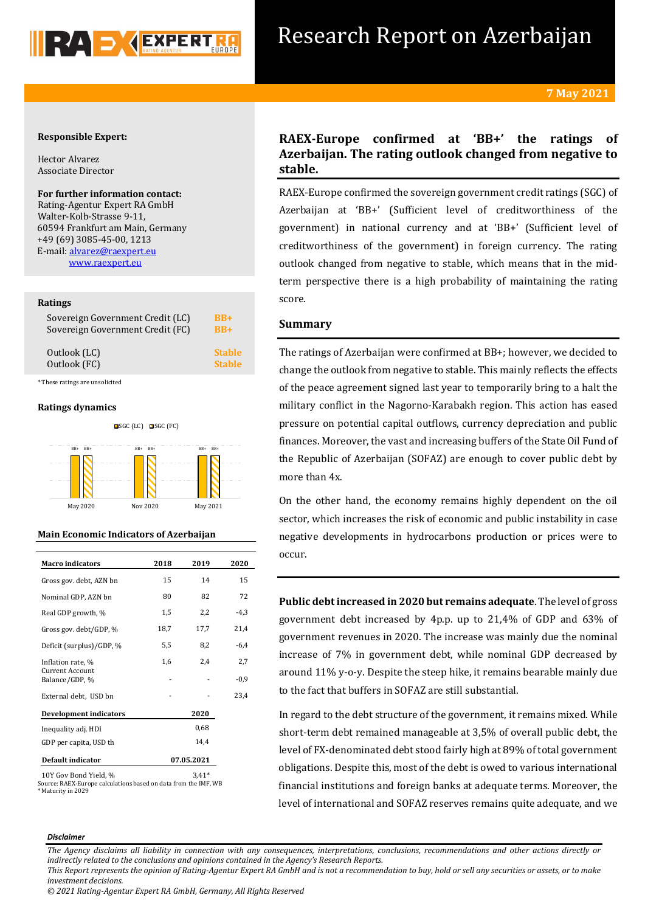

## **Responsible Expert:**

Hector Alvarez Associate Director

## **For further information contact:**

Rating-Agentur Expert RA GmbH Walter-Kolb-Strasse 9-11, 60594 Frankfurt am Main, Germany +49 (69) 3085-45-00, 1213 E-mail[: alvarez@raexpert.eu](mailto:alvarez@raexpert.eu) [www.raexpert.eu](http://raexpert.eu/)

## **Ratings**

| Sovereign Government Credit (LC) | <b>BB+</b>    |
|----------------------------------|---------------|
| Sovereign Government Credit (FC) | $BR+$         |
| Outlook (LC)                     | <b>Stable</b> |
| Outlook (FC)                     | <b>Stable</b> |

\* These ratings are unsolicited

## **Ratings dynamics**



## **Main Economic Indicators of Azerbaijan**

| <b>Macro indicators</b>           | 2018       | 2019 | 2020   |
|-----------------------------------|------------|------|--------|
| Gross gov. debt, AZN bn           | 15         | 14   | 15     |
| Nominal GDP, AZN bn               | 80         | 82   | 72     |
| Real GDP growth, %                | 1,5        | 2,2  | $-4,3$ |
| Gross gov. debt/GDP, %            | 18,7       | 17,7 | 21,4   |
| Deficit (surplus)/GDP, %          | 5,5        | 8,2  | $-6,4$ |
| Inflation rate, %                 | 1,6        | 2,4  | 2,7    |
| Current Account<br>Balance/GDP, % |            |      | $-0,9$ |
| External debt, USD bn             |            |      | 23,4   |
| Development indicators            |            | 2020 |        |
| Inequality adj. HDI               |            | 0,68 |        |
| GDP per capita, USD th            |            | 14,4 |        |
| Default indicator                 | 07.05.2021 |      |        |
|                                   |            |      |        |

<sup>10</sup>Y Gov Bond Yield, % 3,41\* Source: RAEX-Europe calculations based on data from the IMF, WB \* Maturity in 2029

# **RAEX-Europe confirmed at 'BB+' the ratings of Azerbaijan. The rating outlook changed from negative to stable.**

RAEX-Europe confirmed the sovereign government credit ratings (SGC) of Azerbaijan at 'BB+' (Sufficient level of creditworthiness of the government) in national currency and at 'BB+' (Sufficient level of creditworthiness of the government) in foreign currency. The rating outlook changed from negative to stable, which means that in the midterm perspective there is a high probability of maintaining the rating score.

## **Summary**

The ratings of Azerbaijan were confirmed at BB+; however, we decided to change the outlook from negative to stable. This mainly reflects the effects of the peace agreement signed last year to temporarily bring to a halt the military conflict in the Nagorno-Karabakh region. This action has eased pressure on potential capital outflows, currency depreciation and public finances. Moreover, the vast and increasing buffers of the State Oil Fund of the Republic of Azerbaijan (SOFAZ) are enough to cover public debt by more than 4x.

On the other hand, the economy remains highly dependent on the oil sector, which increases the risk of economic and public instability in case negative developments in hydrocarbons production or prices were to occur.

**Public debt increased in 2020 but remains adequate**. The level of gross government debt increased by 4p.p. up to 21,4% of GDP and 63% of government revenues in 2020. The increase was mainly due the nominal increase of 7% in government debt, while nominal GDP decreased by around 11% y-o-y. Despite the steep hike, it remains bearable mainly due to the fact that buffers in SOFAZ are still substantial.

In regard to the debt structure of the government, it remains mixed. While short-term debt remained manageable at 3,5% of overall public debt, the level of FX-denominated debt stood fairly high at 89% of total government obligations. Despite this, most of the debt is owed to various international financial institutions and foreign banks at adequate terms. Moreover, the level of international and SOFAZ reserves remains quite adequate, and we

#### *Disclaimer*

*The Agency disclaims all liability in connection with any consequences, interpretations, conclusions, recommendations and other actions directly or indirectly related to the conclusions and opinions contained in the Agency's Research Reports.*

*This Report represents the opinion of Rating-Agentur Expert RA GmbH and is not a recommendation to buy, hold or sell any securities or assets, or to make investment decisions.*

*<sup>© 2021</sup> Rating-Agentur Expert RA GmbH, Germany, All Rights Reserved*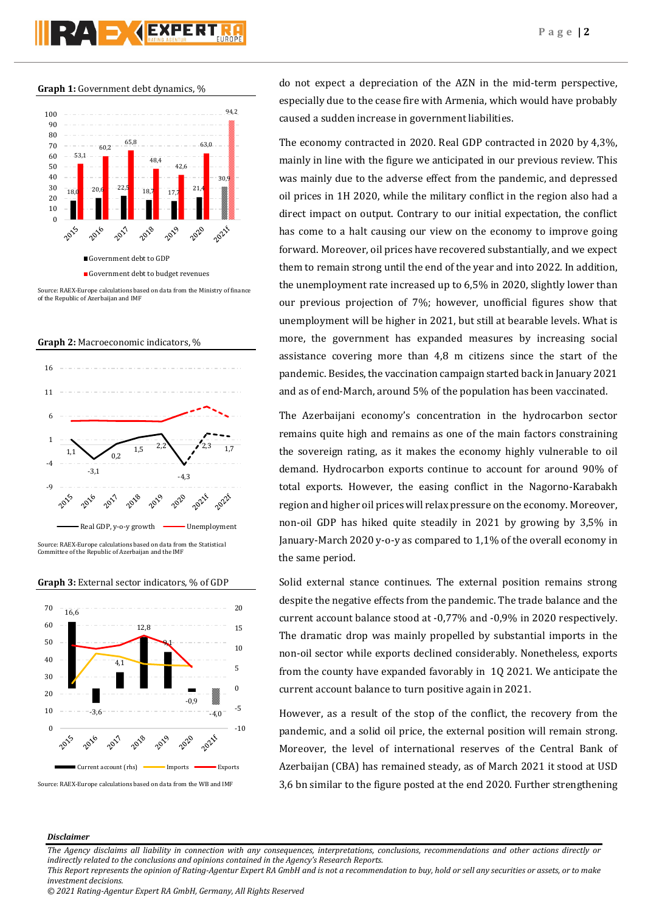# RAD KEXPERI

**Graph 1:** Government debt dynamics, %



Source: RAEX-Europe calculations based on data from the Ministry of finance of the Republic of Azerbaijan and IMF





Source: RAEX-Europe calculations based on data from the Statistical Committee of the Republic of Azerbaijan and the IMF





Source: RAEX-Europe calculations based on data from the WB and IMF

do not expect a depreciation of the AZN in the mid-term perspective, especially due to the cease fire with Armenia, which would have probably caused a sudden increase in government liabilities.

The economy contracted in 2020. Real GDP contracted in 2020 by 4,3%, mainly in line with the figure we anticipated in our previous review. This was mainly due to the adverse effect from the pandemic, and depressed oil prices in 1H 2020, while the military conflict in the region also had a direct impact on output. Contrary to our initial expectation, the conflict has come to a halt causing our view on the economy to improve going forward. Moreover, oil prices have recovered substantially, and we expect them to remain strong until the end of the year and into 2022. In addition, the unemployment rate increased up to 6,5% in 2020, slightly lower than our previous projection of 7%; however, unofficial figures show that unemployment will be higher in 2021, but still at bearable levels. What is more, the government has expanded measures by increasing social assistance covering more than 4,8 m citizens since the start of the pandemic. Besides, the vaccination campaign started back in January 2021 and as of end-March, around 5% of the population has been vaccinated.

The Azerbaijani economy's concentration in the hydrocarbon sector remains quite high and remains as one of the main factors constraining the sovereign rating, as it makes the economy highly vulnerable to oil demand. Hydrocarbon exports continue to account for around 90% of total exports. However, the easing conflict in the Nagorno-Karabakh region and higher oil prices will relax pressure on the economy. Moreover, non-oil GDP has hiked quite steadily in 2021 by growing by 3,5% in January-March 2020 y-o-y as compared to 1,1% of the overall economy in the same period.

Solid external stance continues. The external position remains strong despite the negative effects from the pandemic. The trade balance and the current account balance stood at -0,77% and -0,9% in 2020 respectively. The dramatic drop was mainly propelled by substantial imports in the non-oil sector while exports declined considerably. Nonetheless, exports from the county have expanded favorably in 1Q 2021. We anticipate the current account balance to turn positive again in 2021.

However, as a result of the stop of the conflict, the recovery from the pandemic, and a solid oil price, the external position will remain strong. Moreover, the level of international reserves of the Central Bank of Azerbaijan (CBA) has remained steady, as of March 2021 it stood at USD 3,6 bn similar to the figure posted at the end 2020. Further strengthening

## *Disclaimer*

*The Agency disclaims all liability in connection with any consequences, interpretations, conclusions, recommendations and other actions directly or indirectly related to the conclusions and opinions contained in the Agency's Research Reports.*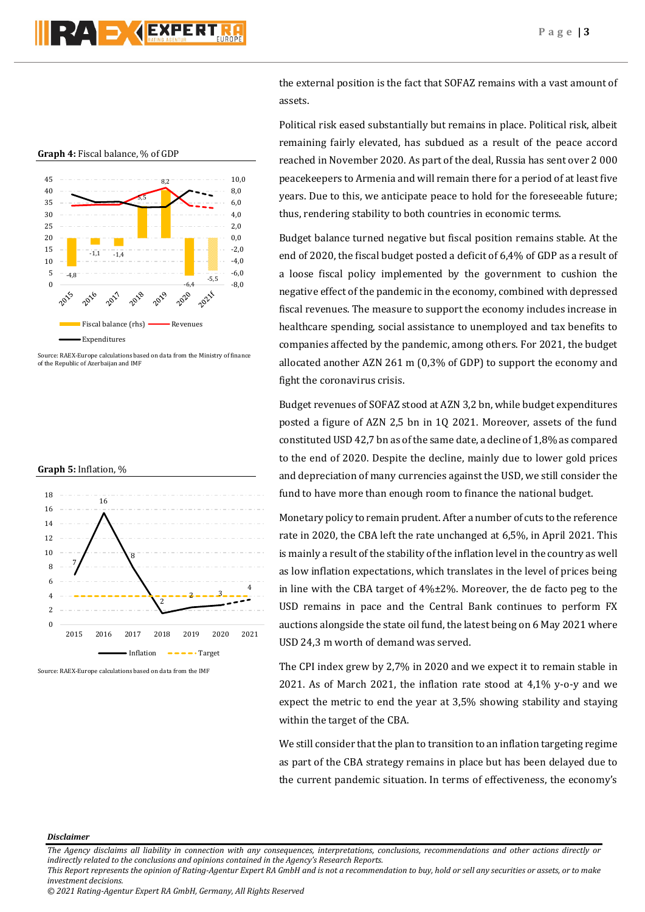

Source: RAEX-Europe calculations based on data from the Ministry of finance of the Republic of Azerbaijan and IMF





Source: RAEX-Europe calculations based on data from the IMF

the external position is the fact that SOFAZ remains with a vast amount of assets.

Political risk eased substantially but remains in place. Political risk, albeit remaining fairly elevated, has subdued as a result of the peace accord reached in November 2020. As part of the deal, Russia has sent over 2 000 peacekeepers to Armenia and will remain there for a period of at least five years. Due to this, we anticipate peace to hold for the foreseeable future; thus, rendering stability to both countries in economic terms.

Budget balance turned negative but fiscal position remains stable. At the end of 2020, the fiscal budget posted a deficit of 6,4% of GDP as a result of a loose fiscal policy implemented by the government to cushion the negative effect of the pandemic in the economy, combined with depressed fiscal revenues. The measure to support the economy includes increase in healthcare spending, social assistance to unemployed and tax benefits to companies affected by the pandemic, among others. For 2021, the budget allocated another AZN 261 m (0,3% of GDP) to support the economy and fight the coronavirus crisis.

Budget revenues of SOFAZ stood at AZN 3,2 bn, while budget expenditures posted a figure of AZN 2,5 bn in 1Q 2021. Moreover, assets of the fund constituted USD 42,7 bn as of the same date, a decline of 1,8% as compared to the end of 2020. Despite the decline, mainly due to lower gold prices and depreciation of many currencies against the USD, we still consider the fund to have more than enough room to finance the national budget.

Monetary policy to remain prudent. After a number of cuts to the reference rate in 2020, the CBA left the rate unchanged at 6,5%, in April 2021. This is mainly a result of the stability of the inflation level in the country as well as low inflation expectations, which translates in the level of prices being in line with the CBA target of 4%±2%. Moreover, the de facto peg to the USD remains in pace and the Central Bank continues to perform FX auctions alongside the state oil fund, the latest being on 6 May 2021 where USD 24,3 m worth of demand was served.

The CPI index grew by 2,7% in 2020 and we expect it to remain stable in 2021. As of March 2021, the inflation rate stood at 4,1% y-o-y and we expect the metric to end the year at 3,5% showing stability and staying within the target of the CBA.

We still consider that the plan to transition to an inflation targeting regime as part of the CBA strategy remains in place but has been delayed due to the current pandemic situation. In terms of effectiveness, the economy's

## *Disclaimer*

*The Agency disclaims all liability in connection with any consequences, interpretations, conclusions, recommendations and other actions directly or indirectly related to the conclusions and opinions contained in the Agency's Research Reports.*

*This Report represents the opinion of Rating-Agentur Expert RA GmbH and is not a recommendation to buy, hold or sell any securities or assets, or to make investment decisions.*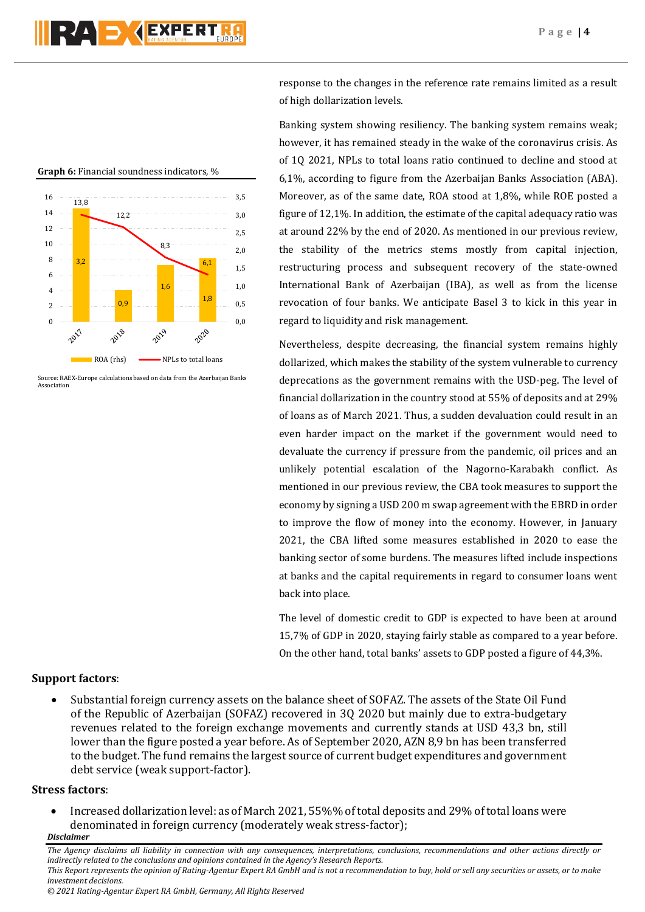response to the changes in the reference rate remains limited as a result of high dollarization levels.

Banking system showing resiliency. The banking system remains weak; however, it has remained steady in the wake of the coronavirus crisis. As of 1Q 2021, NPLs to total loans ratio continued to decline and stood at 6,1%, according to figure from the Azerbaijan Banks Association (ABA). Moreover, as of the same date, ROA stood at 1,8%, while ROE posted a figure of 12,1%. In addition, the estimate of the capital adequacy ratio was at around 22% by the end of 2020. As mentioned in our previous review, the stability of the metrics stems mostly from capital injection, restructuring process and subsequent recovery of the state-owned International Bank of Azerbaijan (IBA), as well as from the license revocation of four banks. We anticipate Basel 3 to kick in this year in regard to liquidity and risk management.

Nevertheless, despite decreasing, the financial system remains highly dollarized, which makes the stability of the system vulnerable to currency deprecations as the government remains with the USD-peg. The level of financial dollarization in the country stood at 55% of deposits and at 29% of loans as of March 2021. Thus, a sudden devaluation could result in an even harder impact on the market if the government would need to devaluate the currency if pressure from the pandemic, oil prices and an unlikely potential escalation of the Nagorno-Karabakh conflict. As mentioned in our previous review, the CBA took measures to support the economy by signing a USD 200 m swap agreement with the EBRD in order to improve the flow of money into the economy. However, in January 2021, the CBA lifted some measures established in 2020 to ease the banking sector of some burdens. The measures lifted include inspections at banks and the capital requirements in regard to consumer loans went back into place.

The level of domestic credit to GDP is expected to have been at around 15,7% of GDP in 2020, staying fairly stable as compared to a year before. On the other hand, total banks' assets to GDP posted a figure of 44,3%.





Source: RAEX-Europe calculations based on data from the Azerbaijan Banks Association

# **Support factors**:

• Substantial foreign currency assets on the balance sheet of SOFAZ. The assets of the State Oil Fund of the Republic of Azerbaijan (SOFAZ) recovered in 3Q 2020 but mainly due to extra-budgetary revenues related to the foreign exchange movements and currently stands at USD 43,3 bn, still lower than the figure posted a year before. As of September 2020, AZN 8,9 bn has been transferred to the budget. The fund remains the largest source of current budget expenditures and government debt service (weak support-factor).

# **Stress factors**:

*Disclaimer*  • Increased dollarization level: as of March 2021, 55%% of total deposits and 29% of total loans were denominated in foreign currency (moderately weak stress-factor);

*investment decisions.*

*The Agency disclaims all liability in connection with any consequences, interpretations, conclusions, recommendations and other actions directly or indirectly related to the conclusions and opinions contained in the Agency's Research Reports. This Report represents the opinion of Rating-Agentur Expert RA GmbH and is not a recommendation to buy, hold or sell any securities or assets, or to make*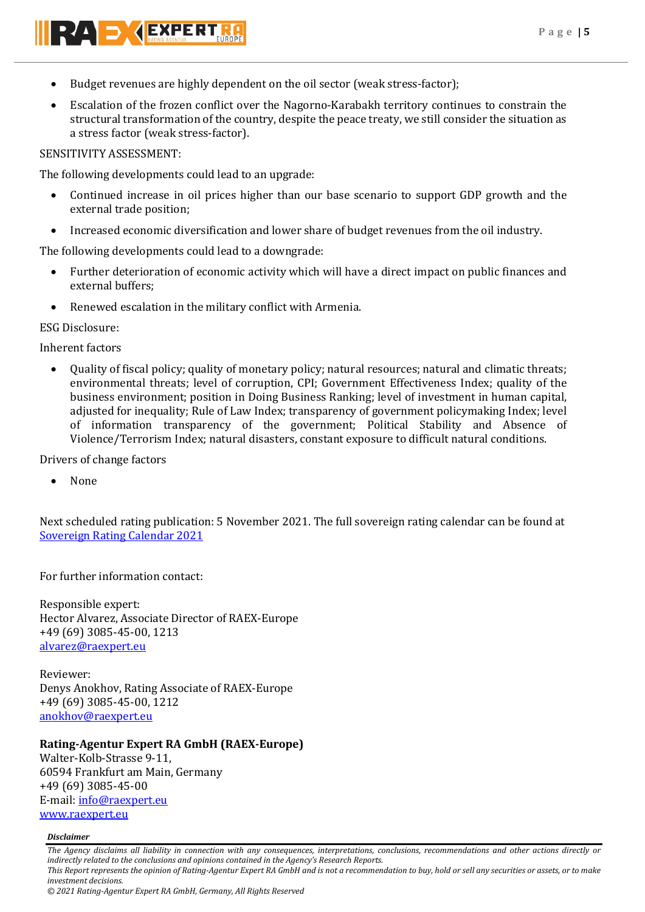- Budget revenues are highly dependent on the oil sector (weak stress-factor);
- Escalation of the frozen conflict over the Nagorno-Karabakh territory continues to constrain the structural transformation of the country, despite the peace treaty, we still consider the situation as a stress factor (weak stress-factor).

# SENSITIVITY ASSESSMENT:

RAD AEXPERT

The following developments could lead to an upgrade:

- Continued increase in oil prices higher than our base scenario to support GDP growth and the external trade position;
- Increased economic diversification and lower share of budget revenues from the oil industry.

The following developments could lead to a downgrade:

- Further deterioration of economic activity which will have a direct impact on public finances and external buffers;
- Renewed escalation in the military conflict with Armenia.

# ESG Disclosure:

Inherent factors

• Quality of fiscal policy; quality of monetary policy; natural resources; natural and climatic threats; environmental threats; level of corruption, CPI; Government Effectiveness Index; quality of the business environment; position in Doing Business Ranking; level of investment in human capital, adjusted for inequality; Rule of Law Index; transparency of government policymaking Index; level of information transparency of the government; Political Stability and Absence of Violence/Terrorism Index; natural disasters, constant exposure to difficult natural conditions.

Drivers of change factors

• None

Next scheduled rating publication: 5 November 2021. The full sovereign rating calendar can be found at [Sovereign Rating Calendar 2021](https://raexpert.eu/sovereign/#conf-tab-5)

For further information contact:

Responsible expert: Hector Alvarez, Associate Director of RAEX-Europe +49 (69) 3085-45-00, 1213 [alvarez@raexpert.eu](mailto:alvarez@raexpert.eu)

Reviewer: Denys Anokhov, Rating Associate of RAEX-Europe +49 (69) 3085-45-00, 1212 [anokhov@raexpert.eu](mailto:anokhov@raexpert.eu)

# **Rating-Agentur Expert RA GmbH (RAEX-Europe)**

Walter-Kolb-Strasse 9-11, 60594 Frankfurt am Main, Germany +49 (69) 3085-45-00 E-mail[: info@raexpert.eu](mailto:info@raexpert.eu) [www.raexpert.eu](http://www.raexpert.eu/)

## *Disclaimer*

*The Agency disclaims all liability in connection with any consequences, interpretations, conclusions, recommendations and other actions directly or indirectly related to the conclusions and opinions contained in the Agency's Research Reports.*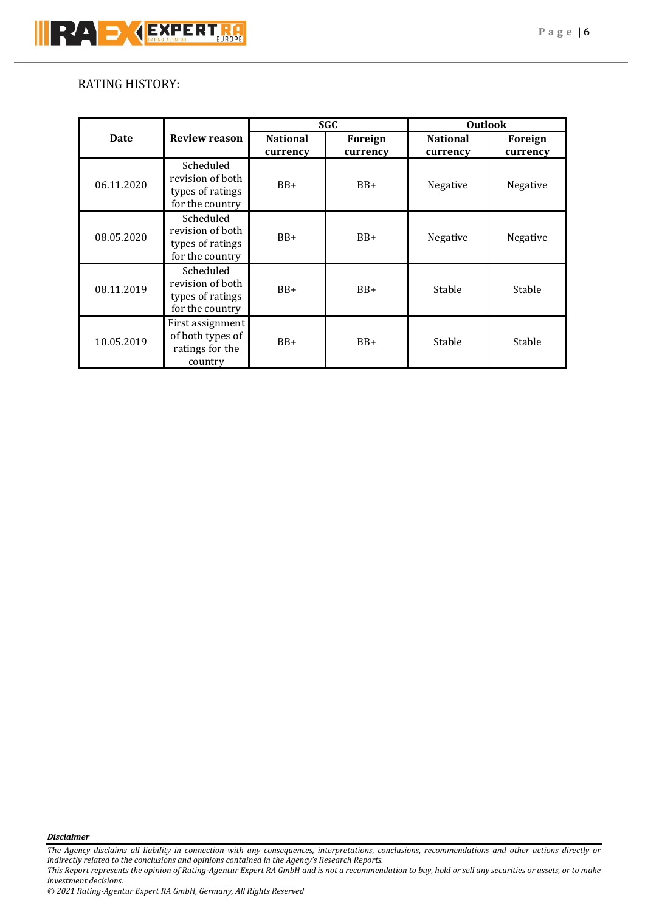# RATING HISTORY:

|             |                                                                      | <b>SGC</b>                  |                     | <b>Outlook</b>              |                     |
|-------------|----------------------------------------------------------------------|-----------------------------|---------------------|-----------------------------|---------------------|
| <b>Date</b> | <b>Review reason</b>                                                 | <b>National</b><br>currency | Foreign<br>currency | <b>National</b><br>currency | Foreign<br>currency |
| 06.11.2020  | Scheduled<br>revision of both<br>types of ratings<br>for the country | $BB+$                       | $BB+$               | Negative                    | Negative            |
| 08.05.2020  | Scheduled<br>revision of both<br>types of ratings<br>for the country | $BB+$                       | $BB+$               | Negative                    | Negative            |
| 08.11.2019  | Scheduled<br>revision of both<br>types of ratings<br>for the country | $BB+$                       | $BB+$               | Stable                      | Stable              |
| 10.05.2019  | First assignment<br>of both types of<br>ratings for the<br>country   | $BB+$                       | $BB+$               | Stable                      | Stable              |

*Disclaimer* 

*The Agency disclaims all liability in connection with any consequences, interpretations, conclusions, recommendations and other actions directly or indirectly related to the conclusions and opinions contained in the Agency's Research Reports.*